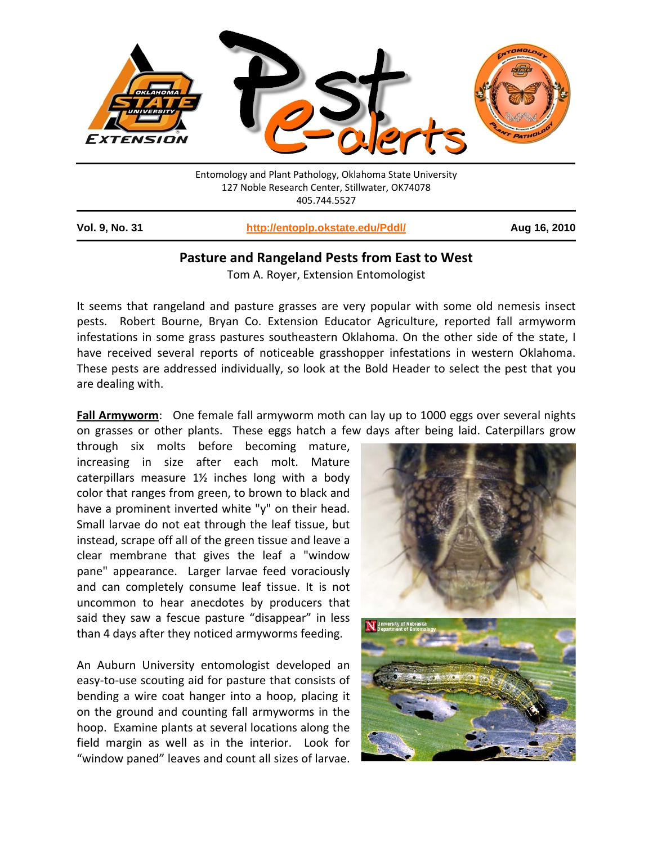

| <b>Vol. 9, No. 31</b> | http://entoplp.okstate.edu/Pddl/ | Aug 16, 2010 |
|-----------------------|----------------------------------|--------------|
|                       |                                  |              |

## **Pasture and Rangeland Pests from East to West**

Tom A. Royer, Extension Entomologist

It seems that rangeland and pasture grasses are very popular with some old nemesis insect pests. Robert Bourne, Bryan Co. Extension Educator Agriculture, reported fall armyworm infestations in some grass pastures southeastern Oklahoma. On the other side of the state, I have received several reports of noticeable grasshopper infestations in western Oklahoma. These pests are addressed individually, so look at the Bold Header to select the pest that you are dealing with.

**Fall Armyworm**: One female fall armyworm moth can lay up to 1000 eggs over several nights on grasses or other plants. These eggs hatch a few days after being laid. Caterpillars grow

through six molts before becoming mature, increasing in size after each molt. Mature caterpillars measure 1½ inches long with a body color that ranges from green, to brown to black and have a prominent inverted white "y" on their head. Small larvae do not eat through the leaf tissue, but instead, scrape off all of the green tissue and leave a clear membrane that gives the leaf a "window pane" appearance. Larger larvae feed voraciously and can completely consume leaf tissue. It is not uncommon to hear anecdotes by producers that said they saw a fescue pasture "disappear" in less than 4 days after they noticed armyworms feeding.

An Auburn University entomologist developed an easy‐to‐use scouting aid for pasture that consists of bending a wire coat hanger into a hoop, placing it on the ground and counting fall armyworms in the hoop. Examine plants at several locations along the field margin as well as in the interior. Look for "window paned" leaves and count all sizes of larvae.

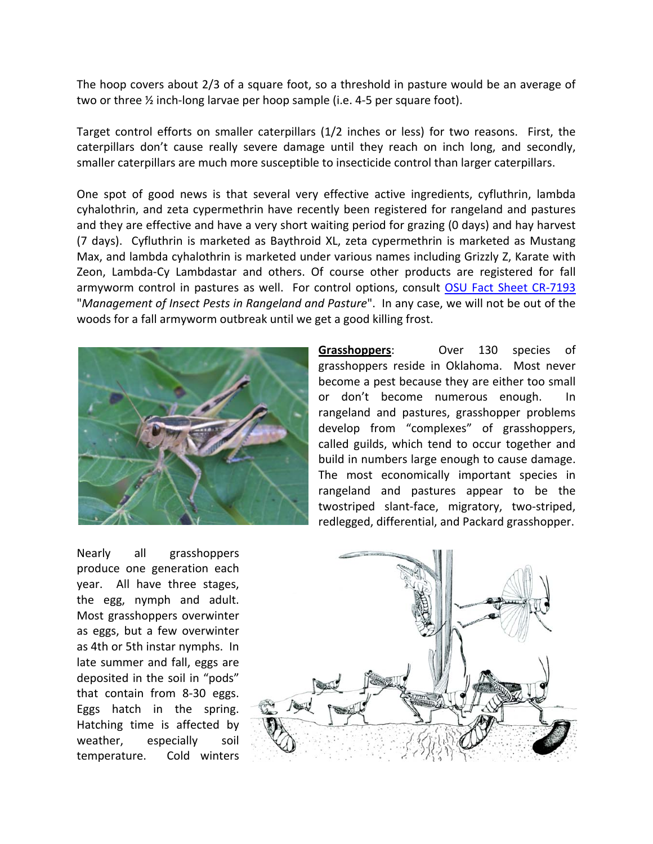The hoop covers about 2/3 of a square foot, so a threshold in pasture would be an average of two or three ½ inch‐long larvae per hoop sample (i.e. 4‐5 per square foot).

Target control efforts on smaller caterpillars (1/2 inches or less) for two reasons. First, the caterpillars don't cause really severe damage until they reach on inch long, and secondly, smaller caterpillars are much more susceptible to insecticide control than larger caterpillars.

One spot of good news is that several very effective active ingredients, cyfluthrin, lambda cyhalothrin, and zeta cypermethrin have recently been registered for rangeland and pastures and they are effective and have a very short waiting period for grazing (0 days) and hay harvest (7 days). Cyfluthrin is marketed as Baythroid XL, zeta cypermethrin is marketed as Mustang Max, and lambda cyhalothrin is marketed under various names including Grizzly Z, Karate with Zeon, Lambda‐Cy Lambdastar and others. Of course other products are registered for fall armyworm control in pastures as well. For control options, consult OSU Fact Sheet CR-7193 "*Management of Insect Pests in Rangeland and Pasture*". In any case, we will not be out of the woods for a fall armyworm outbreak until we get a good killing frost.



**Grasshoppers**: Over 130 species of grasshoppers reside in Oklahoma. Most never become a pest because they are either too small or don't become numerous enough. In rangeland and pastures, grasshopper problems develop from "complexes" of grasshoppers, called guilds, which tend to occur together and build in numbers large enough to cause damage. The most economically important species in rangeland and pastures appear to be the twostriped slant‐face, migratory, two‐striped, redlegged, differential, and Packard grasshopper.

Nearly all grasshoppers produce one generation each year. All have three stages, the egg, nymph and adult. Most grasshoppers overwinter as eggs, but a few overwinter as 4th or 5th instar nymphs. In late summer and fall, eggs are deposited in the soil in "pods" that contain from 8‐30 eggs. Eggs hatch in the spring. Hatching time is affected by weather, especially soil temperature. Cold winters

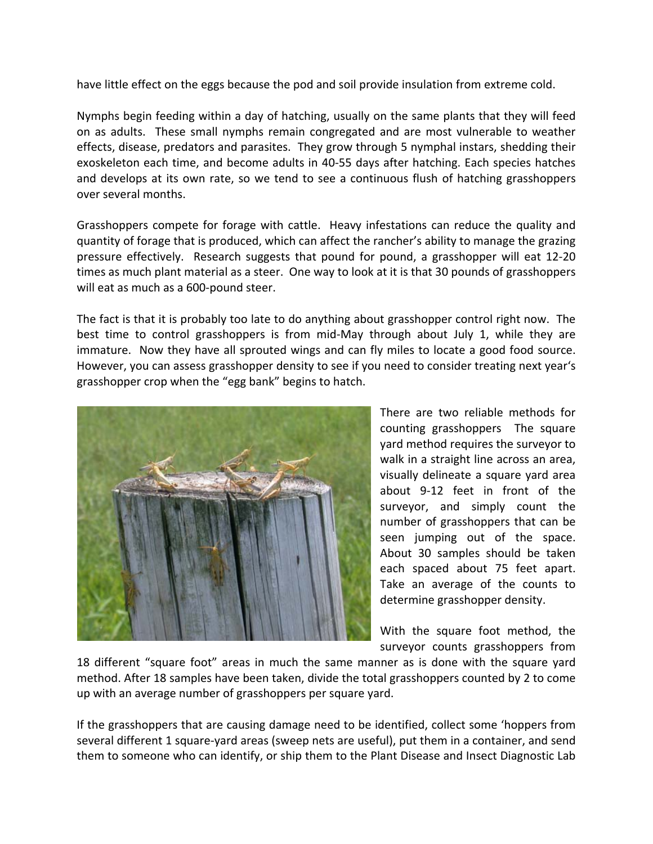have little effect on the eggs because the pod and soil provide insulation from extreme cold.

Nymphs begin feeding within a day of hatching, usually on the same plants that they will feed on as adults. These small nymphs remain congregated and are most vulnerable to weather effects, disease, predators and parasites. They grow through 5 nymphal instars, shedding their exoskeleton each time, and become adults in 40‐55 days after hatching. Each species hatches and develops at its own rate, so we tend to see a continuous flush of hatching grasshoppers over several months.

Grasshoppers compete for forage with cattle. Heavy infestations can reduce the quality and quantity of forage that is produced, which can affect the rancher's ability to manage the grazing pressure effectively. Research suggests that pound for pound, a grasshopper will eat 12‐20 times as much plant material as a steer. One way to look at it is that 30 pounds of grasshoppers will eat as much as a 600‐pound steer.

The fact is that it is probably too late to do anything about grasshopper control right now. The best time to control grasshoppers is from mid‐May through about July 1, while they are immature. Now they have all sprouted wings and can fly miles to locate a good food source. However, you can assess grasshopper density to see if you need to consider treating next year's grasshopper crop when the "egg bank" begins to hatch.



There are two reliable methods for counting grasshoppers The square yard method requires the surveyor to walk in a straight line across an area, visually delineate a square yard area about 9‐12 feet in front of the surveyor, and simply count the number of grasshoppers that can be seen jumping out of the space. About 30 samples should be taken each spaced about 75 feet apart. Take an average of the counts to determine grasshopper density.

With the square foot method, the surveyor counts grasshoppers from

18 different "square foot" areas in much the same manner as is done with the square yard method. After 18 samples have been taken, divide the total grasshoppers counted by 2 to come up with an average number of grasshoppers per square yard.

If the grasshoppers that are causing damage need to be identified, collect some 'hoppers from several different 1 square-yard areas (sweep nets are useful), put them in a container, and send them to someone who can identify, or ship them to the Plant Disease and Insect Diagnostic Lab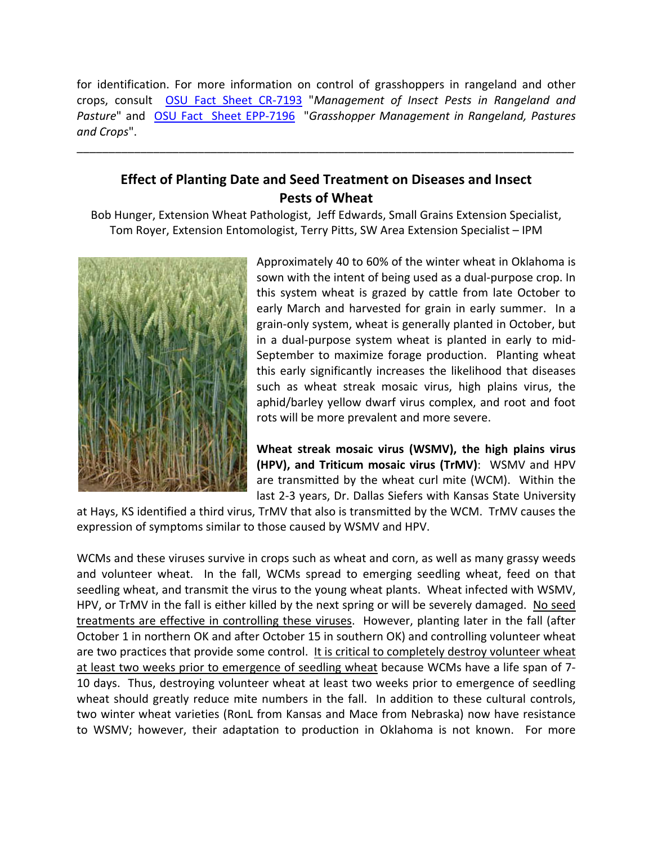for identification. For more information on control of grasshoppers in rangeland and other crops, consult OSU Fact Sheet CR‐7193 "*Management of Insect Pests in Rangeland and Pasture*" and OSU Fact Sheet EPP‐7196 "*Grasshopper Management in Rangeland, Pastures and Crops*".

\_\_\_\_\_\_\_\_\_\_\_\_\_\_\_\_\_\_\_\_\_\_\_\_\_\_\_\_\_\_\_\_\_\_\_\_\_\_\_\_\_\_\_\_\_\_\_\_\_\_\_\_\_\_\_\_\_\_\_\_\_\_\_\_\_\_\_\_\_\_\_\_\_\_\_\_\_\_

## **Effect of Planting Date and Seed Treatment on Diseases and Insect Pests of Wheat**

Bob Hunger, Extension Wheat Pathologist, Jeff Edwards, Small Grains Extension Specialist, Tom Royer, Extension Entomologist, Terry Pitts, SW Area Extension Specialist – IPM



Approximately 40 to 60% of the winter wheat in Oklahoma is sown with the intent of being used as a dual‐purpose crop. In this system wheat is grazed by cattle from late October to early March and harvested for grain in early summer. In a grain‐only system, wheat is generally planted in October, but in a dual‐purpose system wheat is planted in early to mid‐ September to maximize forage production. Planting wheat this early significantly increases the likelihood that diseases such as wheat streak mosaic virus, high plains virus, the aphid/barley yellow dwarf virus complex, and root and foot rots will be more prevalent and more severe.

**Wheat streak mosaic virus (WSMV), the high plains virus (HPV), and Triticum mosaic virus (TrMV)**: WSMV and HPV are transmitted by the wheat curl mite (WCM). Within the last 2‐3 years, Dr. Dallas Siefers with Kansas State University

at Hays, KS identified a third virus, TrMV that also is transmitted by the WCM. TrMV causes the expression of symptoms similar to those caused by WSMV and HPV.

WCMs and these viruses survive in crops such as wheat and corn, as well as many grassy weeds and volunteer wheat. In the fall, WCMs spread to emerging seedling wheat, feed on that seedling wheat, and transmit the virus to the young wheat plants. Wheat infected with WSMV, HPV, or TrMV in the fall is either killed by the next spring or will be severely damaged. No seed treatments are effective in controlling these viruses. However, planting later in the fall (after October 1 in northern OK and after October 15 in southern OK) and controlling volunteer wheat are two practices that provide some control. It is critical to completely destroy volunteer wheat at least two weeks prior to emergence of seedling wheat because WCMs have a life span of 7-10 days. Thus, destroying volunteer wheat at least two weeks prior to emergence of seedling wheat should greatly reduce mite numbers in the fall. In addition to these cultural controls, two winter wheat varieties (RonL from Kansas and Mace from Nebraska) now have resistance to WSMV; however, their adaptation to production in Oklahoma is not known. For more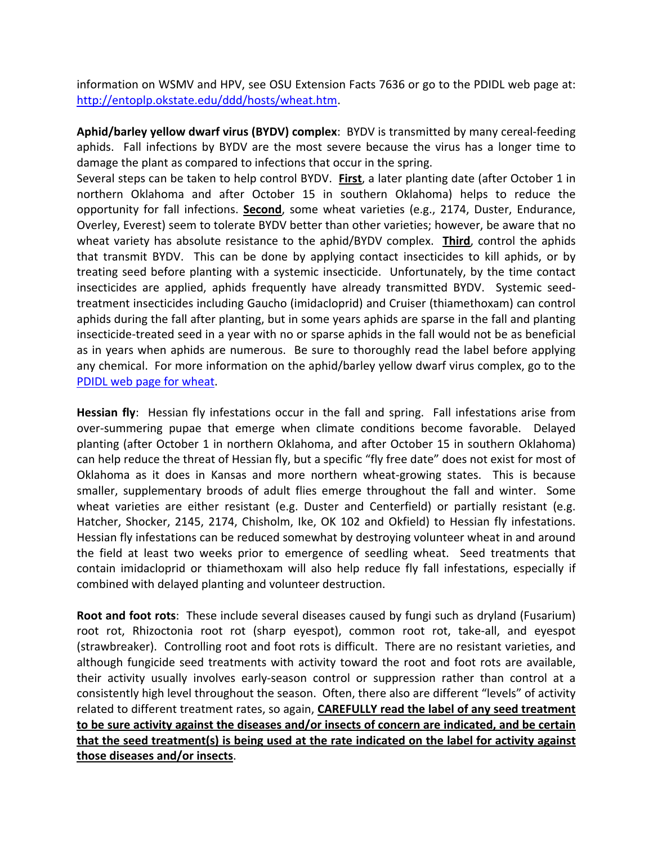information on WSMV and HPV, see OSU Extension Facts 7636 or go to the PDIDL web page at: http://entoplp.okstate.edu/ddd/hosts/wheat.htm.

**Aphid/barley yellow dwarf virus (BYDV) complex**: BYDV is transmitted by many cereal‐feeding aphids. Fall infections by BYDV are the most severe because the virus has a longer time to damage the plant as compared to infections that occur in the spring.

Several steps can be taken to help control BYDV. **First**, a later planting date (after October 1 in northern Oklahoma and after October 15 in southern Oklahoma) helps to reduce the opportunity for fall infections. **Second**, some wheat varieties (e.g., 2174, Duster, Endurance, Overley, Everest) seem to tolerate BYDV better than other varieties; however, be aware that no wheat variety has absolute resistance to the aphid/BYDV complex. **Third**, control the aphids that transmit BYDV. This can be done by applying contact insecticides to kill aphids, or by treating seed before planting with a systemic insecticide. Unfortunately, by the time contact insecticides are applied, aphids frequently have already transmitted BYDV. Systemic seedtreatment insecticides including Gaucho (imidacloprid) and Cruiser (thiamethoxam) can control aphids during the fall after planting, but in some years aphids are sparse in the fall and planting insecticide‐treated seed in a year with no or sparse aphids in the fall would not be as beneficial as in years when aphids are numerous. Be sure to thoroughly read the label before applying any chemical. For more information on the aphid/barley yellow dwarf virus complex, go to the PDIDL web page for wheat.

**Hessian fly**: Hessian fly infestations occur in the fall and spring. Fall infestations arise from over‐summering pupae that emerge when climate conditions become favorable. Delayed planting (after October 1 in northern Oklahoma, and after October 15 in southern Oklahoma) can help reduce the threat of Hessian fly, but a specific "fly free date" does not exist for most of Oklahoma as it does in Kansas and more northern wheat‐growing states. This is because smaller, supplementary broods of adult flies emerge throughout the fall and winter. Some wheat varieties are either resistant (e.g. Duster and Centerfield) or partially resistant (e.g. Hatcher, Shocker, 2145, 2174, Chisholm, Ike, OK 102 and Okfield) to Hessian fly infestations. Hessian fly infestations can be reduced somewhat by destroying volunteer wheat in and around the field at least two weeks prior to emergence of seedling wheat. Seed treatments that contain imidacloprid or thiamethoxam will also help reduce fly fall infestations, especially if combined with delayed planting and volunteer destruction.

**Root and foot rots**: These include several diseases caused by fungi such as dryland (Fusarium) root rot, Rhizoctonia root rot (sharp eyespot), common root rot, take-all, and eyespot (strawbreaker). Controlling root and foot rots is difficult. There are no resistant varieties, and although fungicide seed treatments with activity toward the root and foot rots are available, their activity usually involves early‐season control or suppression rather than control at a consistently high level throughout the season. Often, there also are different "levels" of activity related to different treatment rates, so again, **CAREFULLY read the label of any seed treatment to be sure activity against the diseases and/or insects of concern are indicated, and be certain that the seed treatment(s) is being used at the rate indicated on the label for activity against those diseases and/or insects**.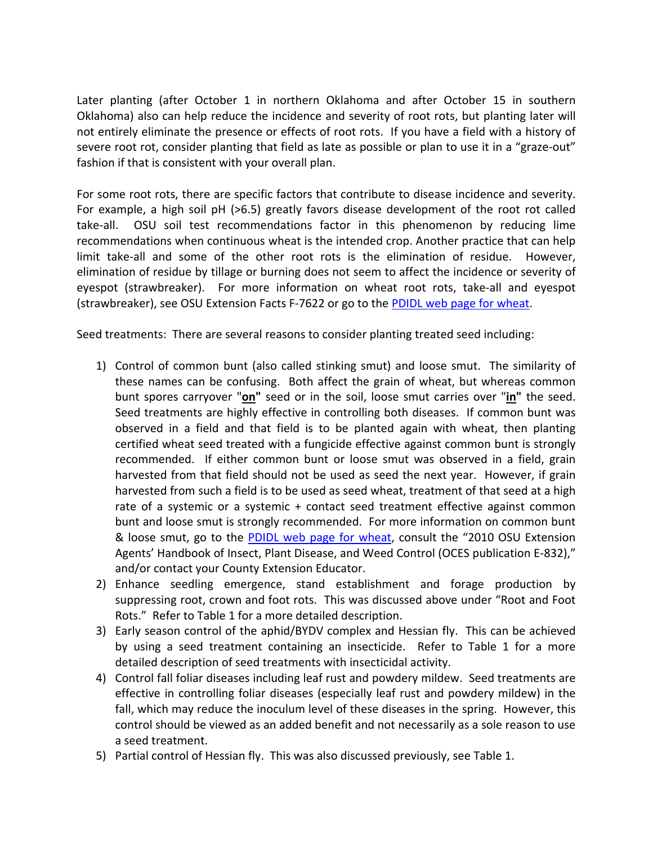Later planting (after October 1 in northern Oklahoma and after October 15 in southern Oklahoma) also can help reduce the incidence and severity of root rots, but planting later will not entirely eliminate the presence or effects of root rots. If you have a field with a history of severe root rot, consider planting that field as late as possible or plan to use it in a "graze-out" fashion if that is consistent with your overall plan.

For some root rots, there are specific factors that contribute to disease incidence and severity. For example, a high soil pH (>6.5) greatly favors disease development of the root rot called take-all. OSU soil test recommendations factor in this phenomenon by reducing lime recommendations when continuous wheat is the intended crop. Another practice that can help limit take-all and some of the other root rots is the elimination of residue. However, elimination of residue by tillage or burning does not seem to affect the incidence or severity of eyespot (strawbreaker). For more information on wheat root rots, take-all and eyespot (strawbreaker), see OSU Extension Facts F‐7622 or go to the PDIDL web page for wheat.

Seed treatments: There are several reasons to consider planting treated seed including:

- 1) Control of common bunt (also called stinking smut) and loose smut. The similarity of these names can be confusing. Both affect the grain of wheat, but whereas common bunt spores carryover "**on"** seed or in the soil, loose smut carries over "**in"** the seed. Seed treatments are highly effective in controlling both diseases. If common bunt was observed in a field and that field is to be planted again with wheat, then planting certified wheat seed treated with a fungicide effective against common bunt is strongly recommended. If either common bunt or loose smut was observed in a field, grain harvested from that field should not be used as seed the next year. However, if grain harvested from such a field is to be used as seed wheat, treatment of that seed at a high rate of a systemic or a systemic + contact seed treatment effective against common bunt and loose smut is strongly recommended. For more information on common bunt & loose smut, go to the **PDIDL web page for wheat**, consult the "2010 OSU Extension Agents' Handbook of Insect, Plant Disease, and Weed Control (OCES publication E‐832)," and/or contact your County Extension Educator.
- 2) Enhance seedling emergence, stand establishment and forage production by suppressing root, crown and foot rots. This was discussed above under "Root and Foot Rots." Refer to Table 1 for a more detailed description.
- 3) Early season control of the aphid/BYDV complex and Hessian fly. This can be achieved by using a seed treatment containing an insecticide. Refer to Table 1 for a more detailed description of seed treatments with insecticidal activity.
- 4) Control fall foliar diseases including leaf rust and powdery mildew. Seed treatments are effective in controlling foliar diseases (especially leaf rust and powdery mildew) in the fall, which may reduce the inoculum level of these diseases in the spring. However, this control should be viewed as an added benefit and not necessarily as a sole reason to use a seed treatment.
- 5) Partial control of Hessian fly. This was also discussed previously, see Table 1.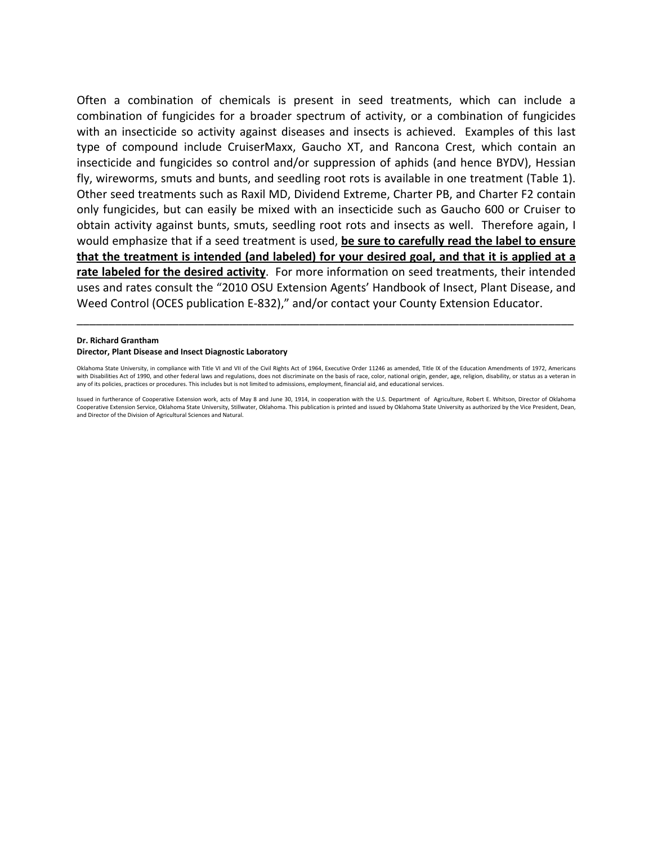Often a combination of chemicals is present in seed treatments, which can include a combination of fungicides for a broader spectrum of activity, or a combination of fungicides with an insecticide so activity against diseases and insects is achieved. Examples of this last type of compound include CruiserMaxx, Gaucho XT, and Rancona Crest, which contain an insecticide and fungicides so control and/or suppression of aphids (and hence BYDV), Hessian fly, wireworms, smuts and bunts, and seedling root rots is available in one treatment (Table 1). Other seed treatments such as Raxil MD, Dividend Extreme, Charter PB, and Charter F2 contain only fungicides, but can easily be mixed with an insecticide such as Gaucho 600 or Cruiser to obtain activity against bunts, smuts, seedling root rots and insects as well. Therefore again, I would emphasize that if a seed treatment is used, **be sure to carefully read the label to ensure that the treatment is intended (and labeled) for your desired goal, and that it is applied at a rate labeled for the desired activity**. For more information on seed treatments, their intended uses and rates consult the "2010 OSU Extension Agents' Handbook of Insect, Plant Disease, and Weed Control (OCES publication E‐832)," and/or contact your County Extension Educator.

## **Dr. Richard Grantham Director, Plant Disease and Insect Diagnostic Laboratory**

Oklahoma State University, in compliance with Title VI and VII of the Civil Rights Act of 1964, Executive Order 11246 as amended, Title IX of the Education Amendments of 1972, Americans with Disabilities Act of 1990, and other federal laws and regulations, does not discriminate on the basis of race, color, national origin, gender, age, religion, disability, or status as a veteran in any of its policies, practices or procedures. This includes but is not limited to admissions, employment, financial aid, and educational services.

\_\_\_\_\_\_\_\_\_\_\_\_\_\_\_\_\_\_\_\_\_\_\_\_\_\_\_\_\_\_\_\_\_\_\_\_\_\_\_\_\_\_\_\_\_\_\_\_\_\_\_\_\_\_\_\_\_\_\_\_\_\_\_\_\_\_\_\_\_\_\_\_\_\_\_\_\_\_

Issued in furtherance of Cooperative Extension work, acts of May 8 and June 30, 1914, in cooperation with the U.S. Department of Agriculture, Robert E. Whitson, Director of Oklahoma Cooperative Extension Service, Oklahoma State University, Stillwater, Oklahoma. This publication is printed and issued by Oklahoma State University as authorized by the Vice President, Dean, and Director of the Division of Agricultural Sciences and Natural.